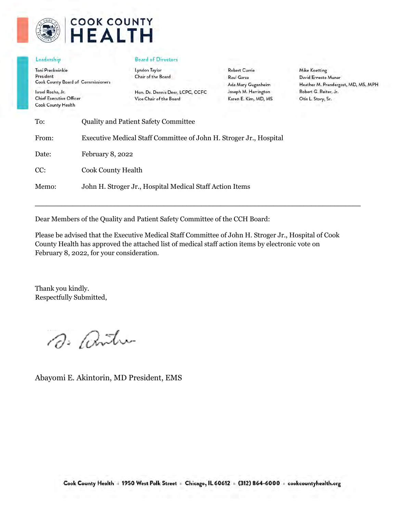

# **COOK COUNTY HEALTH**

#### Leadership

Toni Preckwinkle President **Cook County Board of Commissioners** 

Israel Rocha, Jr. **Chief Executive Officer** Cook County Health

#### **Board of Directors**

Lyndon Taylor Chair of the Board

Hon. Dr. Dennis Deer, LCPC, CCFC Vice Chair of the Board

**Robert Currie** Raul Garza Ada Mary Gugenheim Joseph M. Harrington Karen E. Kim, MD, MS

**Mike Koetting** David Ernesto Munar Heather M. Prendergast, MD, MS, MPH Robert G. Reiter, Jr. Otis L. Story, Sr.

| To:   | <b>Quality and Patient Safety Committee</b>                        |
|-------|--------------------------------------------------------------------|
| From: | Executive Medical Staff Committee of John H. Stroger Jr., Hospital |
| Date: | February 8, 2022                                                   |
| CC:   | <b>Cook County Health</b>                                          |
| Memo: | John H. Stroger Jr., Hospital Medical Staff Action Items           |

Dear Members of the Quality and Patient Safety Committee of the CCH Board:

Please be advised that the Executive Medical Staff Committee of John H. Stroger Jr., Hospital of Cook County Health has approved the attached list of medical staff action items by electronic vote on February 8, 2022, for your consideration.

 $\mathcal{L}_\mathcal{L} = \{ \mathcal{L}_\mathcal{L} = \{ \mathcal{L}_\mathcal{L} = \{ \mathcal{L}_\mathcal{L} = \{ \mathcal{L}_\mathcal{L} = \{ \mathcal{L}_\mathcal{L} = \{ \mathcal{L}_\mathcal{L} = \{ \mathcal{L}_\mathcal{L} = \{ \mathcal{L}_\mathcal{L} = \{ \mathcal{L}_\mathcal{L} = \{ \mathcal{L}_\mathcal{L} = \{ \mathcal{L}_\mathcal{L} = \{ \mathcal{L}_\mathcal{L} = \{ \mathcal{L}_\mathcal{L} = \{ \mathcal{L}_\mathcal{$ 

Thank you kindly. Respectfully Submitted,

D. antu

Abayomi E. Akintorin, MD President, EMS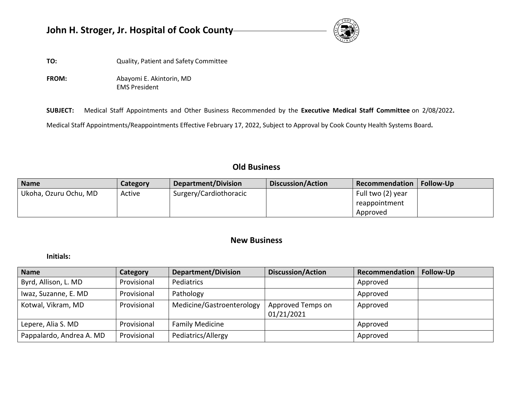# **John H. Stroger, Jr. Hospital of Cook County**



**TO:** Quality, Patient and Safety Committee

**FROM:** Abayomi E. Akintorin, MD EMS President

**SUBJECT:** Medical Staff Appointments and Other Business Recommended by the **Executive Medical Staff Committee** on 2/08/2022**.** 

Medical Staff Appointments/Reappointments Effective February 17, 2022, Subject to Approval by Cook County Health Systems Board**.** 

## **Old Business**

| <b>Name</b>           | Category | Department/Division    | Discussion/Action | Recommendation    | <b>Follow-Up</b> |
|-----------------------|----------|------------------------|-------------------|-------------------|------------------|
| Ukoha, Ozuru Ochu, MD | Active   | Surgery/Cardiothoracic |                   | Full two (2) year |                  |
|                       |          |                        |                   | reappointment     |                  |
|                       |          |                        |                   | Approved          |                  |

### **New Business**

**Initials:** 

| <b>Name</b>              | Category    | <b>Department/Division</b> | Discussion/Action               | Recommendation | <b>Follow-Up</b> |
|--------------------------|-------------|----------------------------|---------------------------------|----------------|------------------|
| Byrd, Allison, L. MD     | Provisional | Pediatrics                 |                                 | Approved       |                  |
| Iwaz, Suzanne, E. MD     | Provisional | Pathology                  |                                 | Approved       |                  |
| Kotwal, Vikram, MD       | Provisional | Medicine/Gastroenterology  | Approved Temps on<br>01/21/2021 | Approved       |                  |
| Lepere, Alia S. MD       | Provisional | <b>Family Medicine</b>     |                                 | Approved       |                  |
| Pappalardo, Andrea A. MD | Provisional | Pediatrics/Allergy         |                                 | Approved       |                  |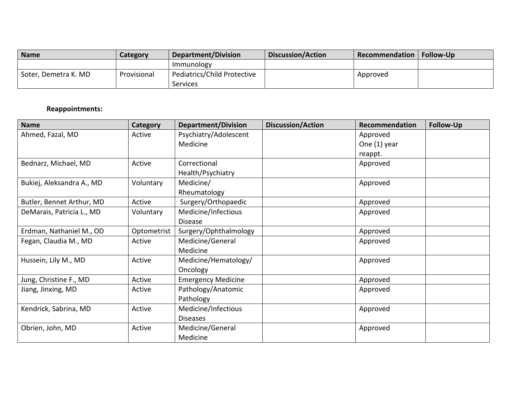| <b>Name</b>                       | Category    | Department/Division         | <b>Discussion/Action</b> | Recommendation | <b>Follow-Up</b> |
|-----------------------------------|-------------|-----------------------------|--------------------------|----------------|------------------|
|                                   |             | <b>Immunology</b>           |                          |                |                  |
| <sup>I</sup> Soter, Demetra K. MD | Provisional | Pediatrics/Child Protective |                          | Approved       |                  |
|                                   |             | Services                    |                          |                |                  |

### **Reappointments:**

| <b>Name</b>               | Category    | <b>Department/Division</b> | <b>Discussion/Action</b> | Recommendation | Follow-Up |
|---------------------------|-------------|----------------------------|--------------------------|----------------|-----------|
| Ahmed, Fazal, MD          | Active      | Psychiatry/Adolescent      |                          | Approved       |           |
|                           |             | Medicine                   |                          | One (1) year   |           |
|                           |             |                            |                          | reappt.        |           |
| Bednarz, Michael, MD      | Active      | Correctional               |                          | Approved       |           |
|                           |             | Health/Psychiatry          |                          |                |           |
| Bukiej, Aleksandra A., MD | Voluntary   | Medicine/                  |                          | Approved       |           |
|                           |             | Rheumatology               |                          |                |           |
| Butler, Bennet Arthur, MD | Active      | Surgery/Orthopaedic        |                          | Approved       |           |
| DeMarais, Patricia L., MD | Voluntary   | Medicine/Infectious        |                          | Approved       |           |
|                           |             | <b>Disease</b>             |                          |                |           |
| Erdman, Nathaniel M., OD  | Optometrist | Surgery/Ophthalmology      |                          | Approved       |           |
| Fegan, Claudia M., MD     | Active      | Medicine/General           |                          | Approved       |           |
|                           |             | Medicine                   |                          |                |           |
| Hussein, Lily M., MD      | Active      | Medicine/Hematology/       |                          | Approved       |           |
|                           |             | Oncology                   |                          |                |           |
| Jung, Christine F., MD    | Active      | <b>Emergency Medicine</b>  |                          | Approved       |           |
| Jiang, Jinxing, MD        | Active      | Pathology/Anatomic         |                          | Approved       |           |
|                           |             | Pathology                  |                          |                |           |
| Kendrick, Sabrina, MD     | Active      | Medicine/Infectious        |                          | Approved       |           |
|                           |             | <b>Diseases</b>            |                          |                |           |
| Obrien, John, MD          | Active      | Medicine/General           |                          | Approved       |           |
|                           |             | Medicine                   |                          |                |           |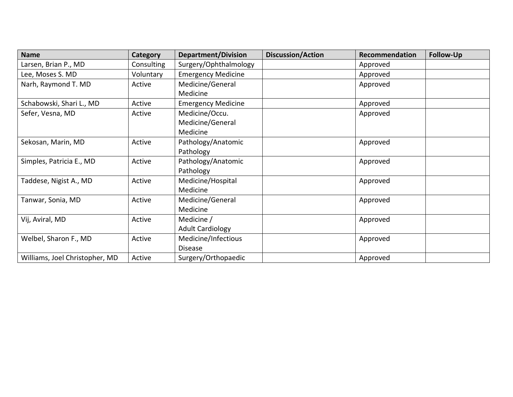| <b>Name</b>                    | Category   | <b>Department/Division</b> | <b>Discussion/Action</b> | Recommendation | <b>Follow-Up</b> |
|--------------------------------|------------|----------------------------|--------------------------|----------------|------------------|
| Larsen, Brian P., MD           | Consulting | Surgery/Ophthalmology      |                          | Approved       |                  |
| Lee, Moses S. MD               | Voluntary  | <b>Emergency Medicine</b>  |                          | Approved       |                  |
| Narh, Raymond T. MD            | Active     | Medicine/General           |                          | Approved       |                  |
|                                |            | Medicine                   |                          |                |                  |
| Schabowski, Shari L., MD       | Active     | <b>Emergency Medicine</b>  |                          | Approved       |                  |
| Sefer, Vesna, MD               | Active     | Medicine/Occu.             |                          | Approved       |                  |
|                                |            | Medicine/General           |                          |                |                  |
|                                |            | Medicine                   |                          |                |                  |
| Sekosan, Marin, MD             | Active     | Pathology/Anatomic         |                          | Approved       |                  |
|                                |            | Pathology                  |                          |                |                  |
| Simples, Patricia E., MD       | Active     | Pathology/Anatomic         |                          | Approved       |                  |
|                                |            | Pathology                  |                          |                |                  |
| Taddese, Nigist A., MD         | Active     | Medicine/Hospital          |                          | Approved       |                  |
|                                |            | Medicine                   |                          |                |                  |
| Tanwar, Sonia, MD              | Active     | Medicine/General           |                          | Approved       |                  |
|                                |            | Medicine                   |                          |                |                  |
| Vij, Aviral, MD                | Active     | Medicine /                 |                          | Approved       |                  |
|                                |            | <b>Adult Cardiology</b>    |                          |                |                  |
| Welbel, Sharon F., MD          | Active     | Medicine/Infectious        |                          | Approved       |                  |
|                                |            | <b>Disease</b>             |                          |                |                  |
| Williams, Joel Christopher, MD | Active     | Surgery/Orthopaedic        |                          | Approved       |                  |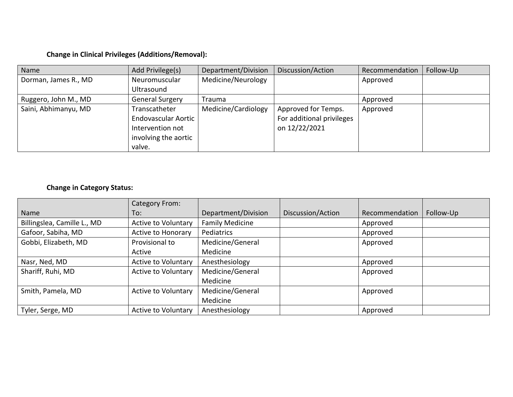### **Change in Clinical Privileges (Additions/Removal):**

| Name                 | Add Privilege(s)           | Department/Division | Discussion/Action         | Recommendation | Follow-Up |
|----------------------|----------------------------|---------------------|---------------------------|----------------|-----------|
| Dorman, James R., MD | Neuromuscular              | Medicine/Neurology  |                           | Approved       |           |
|                      | Ultrasound                 |                     |                           |                |           |
| Ruggero, John M., MD | <b>General Surgery</b>     | <b>Trauma</b>       |                           | Approved       |           |
| Saini, Abhimanyu, MD | Transcatheter              | Medicine/Cardiology | Approved for Temps.       | Approved       |           |
|                      | <b>Endovascular Aortic</b> |                     | For additional privileges |                |           |
|                      | Intervention not           |                     | on 12/22/2021             |                |           |
|                      | involving the aortic       |                     |                           |                |           |
|                      | valve.                     |                     |                           |                |           |

### **Change in Category Status:**

|                             | Category From:             |                        |                   |                |           |
|-----------------------------|----------------------------|------------------------|-------------------|----------------|-----------|
| Name                        | To:                        | Department/Division    | Discussion/Action | Recommendation | Follow-Up |
| Billingslea, Camille L., MD | <b>Active to Voluntary</b> | <b>Family Medicine</b> |                   | Approved       |           |
| Gafoor, Sabiha, MD          | Active to Honorary         | Pediatrics             |                   | Approved       |           |
| Gobbi, Elizabeth, MD        | Provisional to             | Medicine/General       |                   | Approved       |           |
|                             | Active                     | Medicine               |                   |                |           |
| Nasr, Ned, MD               | <b>Active to Voluntary</b> | Anesthesiology         |                   | Approved       |           |
| Shariff, Ruhi, MD           | <b>Active to Voluntary</b> | Medicine/General       |                   | Approved       |           |
|                             |                            | Medicine               |                   |                |           |
| Smith, Pamela, MD           | Active to Voluntary        | Medicine/General       |                   | Approved       |           |
|                             |                            | Medicine               |                   |                |           |
| Tyler, Serge, MD            | <b>Active to Voluntary</b> | Anesthesiology         |                   | Approved       |           |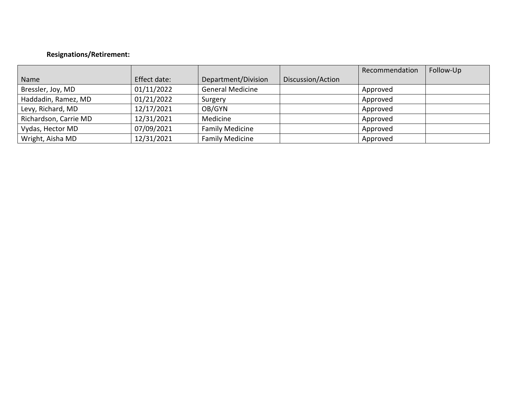### **Resignations/Retirement:**

|                       |              |                         |                   | Recommendation | Follow-Up |
|-----------------------|--------------|-------------------------|-------------------|----------------|-----------|
| Name                  | Effect date: | Department/Division     | Discussion/Action |                |           |
| Bressler, Joy, MD     | 01/11/2022   | <b>General Medicine</b> |                   | Approved       |           |
| Haddadin, Ramez, MD   | 01/21/2022   | Surgery                 |                   | Approved       |           |
| Levy, Richard, MD     | 12/17/2021   | OB/GYN                  |                   | Approved       |           |
| Richardson, Carrie MD | 12/31/2021   | Medicine                |                   | Approved       |           |
| Vydas, Hector MD      | 07/09/2021   | <b>Family Medicine</b>  |                   | Approved       |           |
| Wright, Aisha MD      | 12/31/2021   | <b>Family Medicine</b>  |                   | Approved       |           |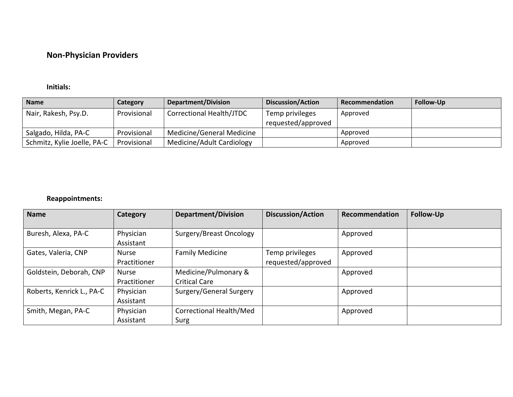# **Non-Physician Providers**

### **Initials:**

| <b>Name</b>                 | Category    | <b>Department/Division</b> | <b>Discussion/Action</b> | Recommendation | <b>Follow-Up</b> |
|-----------------------------|-------------|----------------------------|--------------------------|----------------|------------------|
| Nair, Rakesh, Psy.D.        | Provisional | Correctional Health/JTDC   | Temp privileges          | Approved       |                  |
|                             |             |                            | requested/approved       |                |                  |
| Salgado, Hilda, PA-C        | Provisional | Medicine/General Medicine  |                          | Approved       |                  |
| Schmitz, Kylie Joelle, PA-C | Provisional | Medicine/Adult Cardiology  |                          | Approved       |                  |

### **Reappointments:**

| <b>Name</b>               | Category                     | <b>Department/Division</b>                   | <b>Discussion/Action</b>              | Recommendation | Follow-Up |
|---------------------------|------------------------------|----------------------------------------------|---------------------------------------|----------------|-----------|
| Buresh, Alexa, PA-C       | Physician<br>Assistant       | Surgery/Breast Oncology                      |                                       | Approved       |           |
| Gates, Valeria, CNP       | Nurse<br>Practitioner        | <b>Family Medicine</b>                       | Temp privileges<br>requested/approved | Approved       |           |
| Goldstein, Deborah, CNP   | <b>Nurse</b><br>Practitioner | Medicine/Pulmonary &<br><b>Critical Care</b> |                                       | Approved       |           |
| Roberts, Kenrick L., PA-C | Physician<br>Assistant       | Surgery/General Surgery                      |                                       | Approved       |           |
| Smith, Megan, PA-C        | Physician<br>Assistant       | Correctional Health/Med<br>Surg              |                                       | Approved       |           |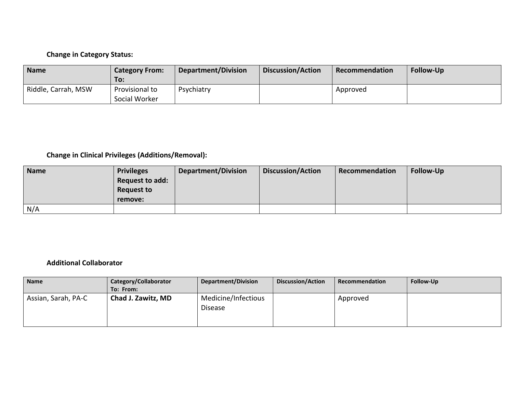### **Change in Category Status:**

| <b>Name</b>         | <b>Category From:</b><br>To:    | <b>Department/Division</b> | <b>Discussion/Action</b> | Recommendation | <b>Follow-Up</b> |
|---------------------|---------------------------------|----------------------------|--------------------------|----------------|------------------|
| Riddle, Carrah, MSW | Provisional to<br>Social Worker | Psychiatry                 |                          | Approved       |                  |

# **Change in Clinical Privileges (Additions/Removal):**

| <b>Name</b> | <b>Privileges</b> | <b>Department/Division</b> | Discussion/Action | Recommendation | <b>Follow-Up</b> |
|-------------|-------------------|----------------------------|-------------------|----------------|------------------|
|             | Request to add:   |                            |                   |                |                  |
|             | <b>Request to</b> |                            |                   |                |                  |
|             | remove:           |                            |                   |                |                  |
| N/A         |                   |                            |                   |                |                  |

### **Additional Collaborator**

| <b>Name</b>         | Category/Collaborator | <b>Department/Division</b>            | Discussion/Action | Recommendation | Follow-Up |
|---------------------|-----------------------|---------------------------------------|-------------------|----------------|-----------|
|                     | To: From:             |                                       |                   |                |           |
| Assian, Sarah, PA-C | Chad J. Zawitz, MD    | Medicine/Infectious<br><b>Disease</b> |                   | Approved       |           |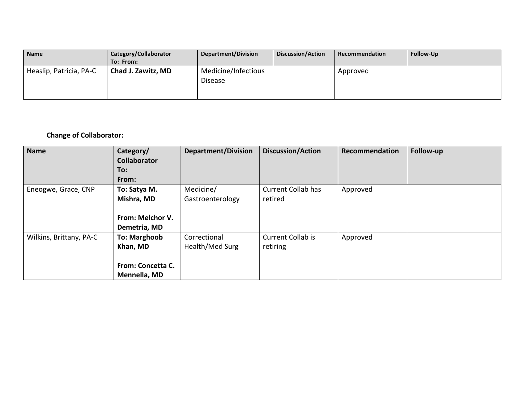| <b>Name</b>             | Category/Collaborator | Department/Division                   | <b>Discussion/Action</b> | Recommendation | <b>Follow-Up</b> |
|-------------------------|-----------------------|---------------------------------------|--------------------------|----------------|------------------|
|                         | To: From:             |                                       |                          |                |                  |
| Heaslip, Patricia, PA-C | Chad J. Zawitz, MD    | Medicine/Infectious<br><b>Disease</b> |                          | Approved       |                  |

### **Change of Collaborator:**

| <b>Name</b>             | Category/<br><b>Collaborator</b><br>To:<br>From:                     | <b>Department/Division</b>      | <b>Discussion/Action</b>             | Recommendation | Follow-up |
|-------------------------|----------------------------------------------------------------------|---------------------------------|--------------------------------------|----------------|-----------|
| Eneogwe, Grace, CNP     | To: Satya M.<br>Mishra, MD<br>From: Melchor V.<br>Demetria, MD       | Medicine/<br>Gastroenterology   | <b>Current Collab has</b><br>retired | Approved       |           |
| Wilkins, Brittany, PA-C | <b>To: Marghoob</b><br>Khan, MD<br>From: Concetta C.<br>Mennella, MD | Correctional<br>Health/Med Surg | <b>Current Collab is</b><br>retiring | Approved       |           |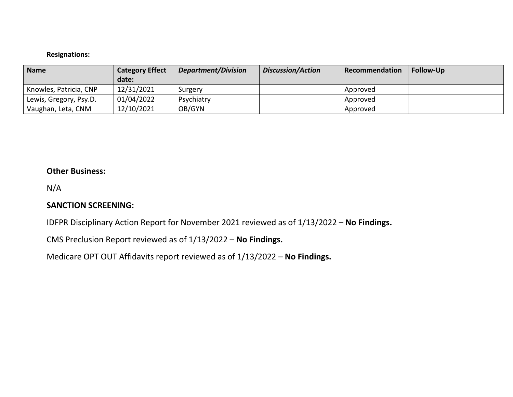### **Resignations:**

| Name                   | <b>Category Effect</b> | Department/Division | <b>Discussion/Action</b> | Recommendation | <b>Follow-Up</b> |
|------------------------|------------------------|---------------------|--------------------------|----------------|------------------|
|                        | date:                  |                     |                          |                |                  |
| Knowles, Patricia, CNP | 12/31/2021             | Surgery             |                          | Approved       |                  |
| Lewis, Gregory, Psy.D. | 01/04/2022             | Psychiatry          |                          | Approved       |                  |
| Vaughan, Leta, CNM     | 12/10/2021             | OB/GYN              |                          | Approved       |                  |

### **Other Business:**

N/A

### **SANCTION SCREENING:**

IDFPR Disciplinary Action Report for November 2021 reviewed as of 1/13/2022 – **No Findings.**

CMS Preclusion Report reviewed as of 1/13/2022 – **No Findings.**

Medicare OPT OUT Affidavits report reviewed as of 1/13/2022 – **No Findings.**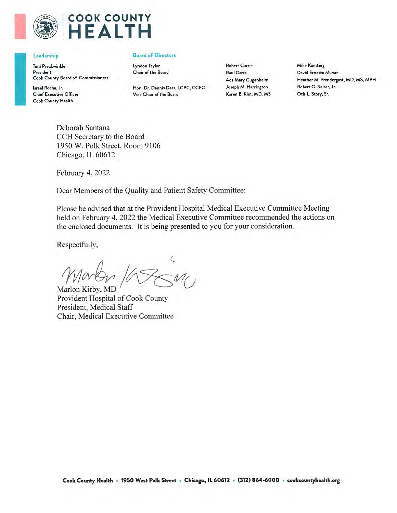

# **COOK COUNTY EALTH**

#### Leadership

Toni Preckwinkle President Cook County Board of Commissioners

Israel Rocha, Jr. **Chief Executive Officer** Cook County Health

#### **Board of Directors**

Lyndon Taylor Chair of the Board

Hon. Dr. Dennis Deer, LCPC, CCFC Vice Chair of the Board

**Robert Currie Raul Garza** Ada Mary Gugenheim Joseph M. Harrington Karen E. Kim, MD, MS **Mike Koetting** David Ernesto Munar Heather M. Prendergast, MD, MS, MPH Robert G. Reiter, Jr. Otis L. Story, Sr.

Deborah Santana CCH Secretary to the Board 1950 W. Polk Street, Room 9106 Chicago, IL 60612

February 4, 2022

Dear Members of the Quality and Patient Safety Committee:

Please be advised that at the Provident Hospital Medical Executive Committee Meeting held on February 4, 2022 the Medical Executive Committee recommended the actions on the enclosed documents. It is being presented to you for your consideration.

Respectfully,

Marlon Kirby, MD

Provident Hospital of Cook County President, Medical Staff Chair, Medical Executive Committee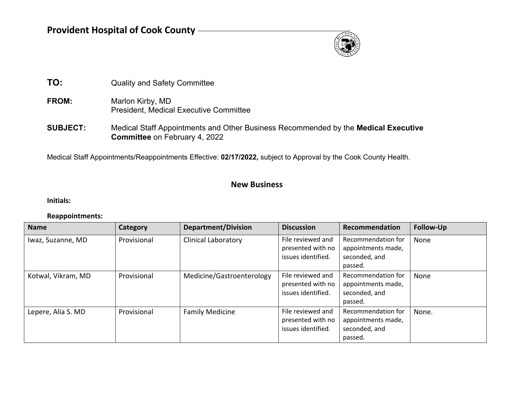

- **TO:** Quality and Safety Committee
- FROM: Marlon Kirby, MD President, Medical Executive Committee
- **SUBJECT:** Medical Staff Appointments and Other Business Recommended by the **Medical Executive Committee** on February 4, 2022

Medical Staff Appointments/Reappointments Effective: **02/17/2022,** subject to Approval by the Cook County Health.

### **New Business**

**Initials:**

#### **Reappointments:**

| <b>Name</b>        | Category    | <b>Department/Division</b> | <b>Discussion</b>                                            | Recommendation                                                       | <b>Follow-Up</b> |
|--------------------|-------------|----------------------------|--------------------------------------------------------------|----------------------------------------------------------------------|------------------|
| Iwaz, Suzanne, MD  | Provisional | <b>Clinical Laboratory</b> | File reviewed and<br>presented with no<br>issues identified. | Recommendation for<br>appointments made,<br>seconded, and<br>passed. | None             |
| Kotwal, Vikram, MD | Provisional | Medicine/Gastroenterology  | File reviewed and<br>presented with no<br>issues identified. | Recommendation for<br>appointments made,<br>seconded, and<br>passed. | None             |
| Lepere, Alia S. MD | Provisional | <b>Family Medicine</b>     | File reviewed and<br>presented with no<br>issues identified. | Recommendation for<br>appointments made,<br>seconded, and<br>passed. | None.            |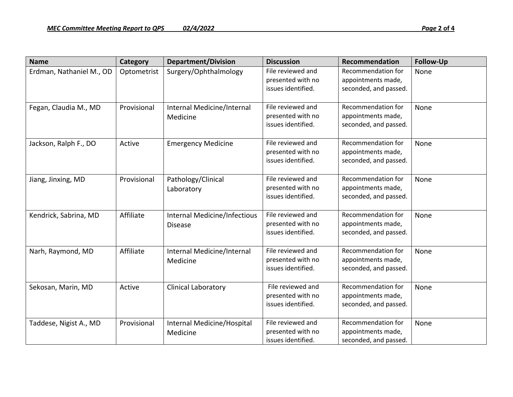| <b>Name</b>              | Category    | <b>Department/Division</b>                     | <b>Discussion</b>                                            | Recommendation                                                    | <b>Follow-Up</b> |
|--------------------------|-------------|------------------------------------------------|--------------------------------------------------------------|-------------------------------------------------------------------|------------------|
| Erdman, Nathaniel M., OD | Optometrist | Surgery/Ophthalmology                          | File reviewed and<br>presented with no<br>issues identified. | Recommendation for<br>appointments made,<br>seconded, and passed. | None             |
| Fegan, Claudia M., MD    | Provisional | Internal Medicine/Internal<br>Medicine         | File reviewed and<br>presented with no<br>issues identified. | Recommendation for<br>appointments made,<br>seconded, and passed. | None             |
| Jackson, Ralph F., DO    | Active      | <b>Emergency Medicine</b>                      | File reviewed and<br>presented with no<br>issues identified. | Recommendation for<br>appointments made,<br>seconded, and passed. | None             |
| Jiang, Jinxing, MD       | Provisional | Pathology/Clinical<br>Laboratory               | File reviewed and<br>presented with no<br>issues identified. | Recommendation for<br>appointments made,<br>seconded, and passed. | None             |
| Kendrick, Sabrina, MD    | Affiliate   | Internal Medicine/Infectious<br><b>Disease</b> | File reviewed and<br>presented with no<br>issues identified. | Recommendation for<br>appointments made,<br>seconded, and passed. | None             |
| Narh, Raymond, MD        | Affiliate   | Internal Medicine/Internal<br>Medicine         | File reviewed and<br>presented with no<br>issues identified. | Recommendation for<br>appointments made,<br>seconded, and passed. | None             |
| Sekosan, Marin, MD       | Active      | <b>Clinical Laboratory</b>                     | File reviewed and<br>presented with no<br>issues identified. | Recommendation for<br>appointments made,<br>seconded, and passed. | None             |
| Taddese, Nigist A., MD   | Provisional | Internal Medicine/Hospital<br>Medicine         | File reviewed and<br>presented with no<br>issues identified. | Recommendation for<br>appointments made,<br>seconded, and passed. | None             |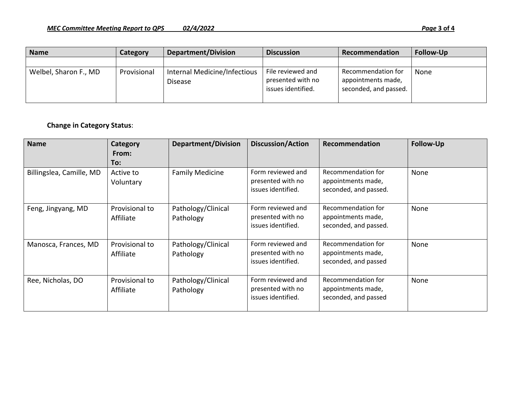| <b>Name</b>           | Category    | Department/Division                            | <b>Discussion</b>                                            | Recommendation                                                    | <b>Follow-Up</b> |
|-----------------------|-------------|------------------------------------------------|--------------------------------------------------------------|-------------------------------------------------------------------|------------------|
|                       |             |                                                |                                                              |                                                                   |                  |
| Welbel, Sharon F., MD | Provisional | Internal Medicine/Infectious<br><b>Disease</b> | File reviewed and<br>presented with no<br>issues identified. | Recommendation for<br>appointments made,<br>seconded, and passed. | None             |

### **Change in Category Status**:

| <b>Name</b>              | <b>Category</b><br>From:<br>To: | <b>Department/Division</b>      | <b>Discussion/Action</b>                                     | <b>Recommendation</b>                                             | <b>Follow-Up</b> |
|--------------------------|---------------------------------|---------------------------------|--------------------------------------------------------------|-------------------------------------------------------------------|------------------|
| Billingslea, Camille, MD | Active to<br>Voluntary          | <b>Family Medicine</b>          | Form reviewed and<br>presented with no<br>issues identified. | Recommendation for<br>appointments made,<br>seconded, and passed. | None             |
| Feng, Jingyang, MD       | Provisional to<br>Affiliate     | Pathology/Clinical<br>Pathology | Form reviewed and<br>presented with no<br>issues identified. | Recommendation for<br>appointments made,<br>seconded, and passed. | None             |
| Manosca, Frances, MD     | Provisional to<br>Affiliate     | Pathology/Clinical<br>Pathology | Form reviewed and<br>presented with no<br>issues identified. | Recommendation for<br>appointments made,<br>seconded, and passed  | None             |
| Ree, Nicholas, DO        | Provisional to<br>Affiliate     | Pathology/Clinical<br>Pathology | Form reviewed and<br>presented with no<br>issues identified. | Recommendation for<br>appointments made,<br>seconded, and passed  | None             |